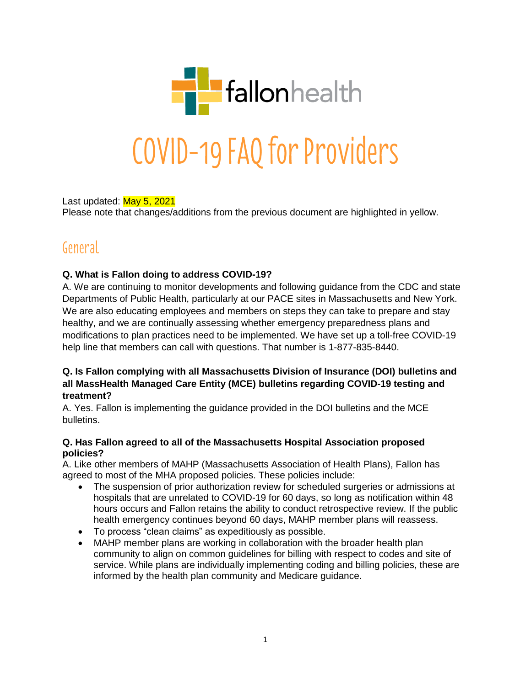

Last updated: May 5, 2021 Please note that changes/additions from the previous document are highlighted in yellow.

## General

## **Q. What is Fallon doing to address COVID-19?**

A. We are continuing to monitor developments and following guidance from the CDC and state Departments of Public Health, particularly at our PACE sites in Massachusetts and New York. We are also educating employees and members on steps they can take to prepare and stay healthy, and we are continually assessing whether emergency preparedness plans and modifications to plan practices need to be implemented. We have set up a toll-free COVID-19 help line that members can call with questions. That number is 1-877-835-8440.

## **Q. Is Fallon complying with all Massachusetts Division of Insurance (DOI) bulletins and all MassHealth Managed Care Entity (MCE) bulletins regarding COVID-19 testing and treatment?**

A. Yes. Fallon is implementing the guidance provided in the DOI bulletins and the MCE bulletins.

#### **Q. Has Fallon agreed to all of the Massachusetts Hospital Association proposed policies?**

A. Like other members of MAHP (Massachusetts Association of Health Plans), Fallon has agreed to most of the MHA proposed policies. These policies include:

- The suspension of prior authorization review for scheduled surgeries or admissions at hospitals that are unrelated to COVID-19 for 60 days, so long as notification within 48 hours occurs and Fallon retains the ability to conduct retrospective review. If the public health emergency continues beyond 60 days, MAHP member plans will reassess.
- To process "clean claims" as expeditiously as possible.
- MAHP member plans are working in collaboration with the broader health plan community to align on common guidelines for billing with respect to codes and site of service. While plans are individually implementing coding and billing policies, these are informed by the health plan community and Medicare guidance.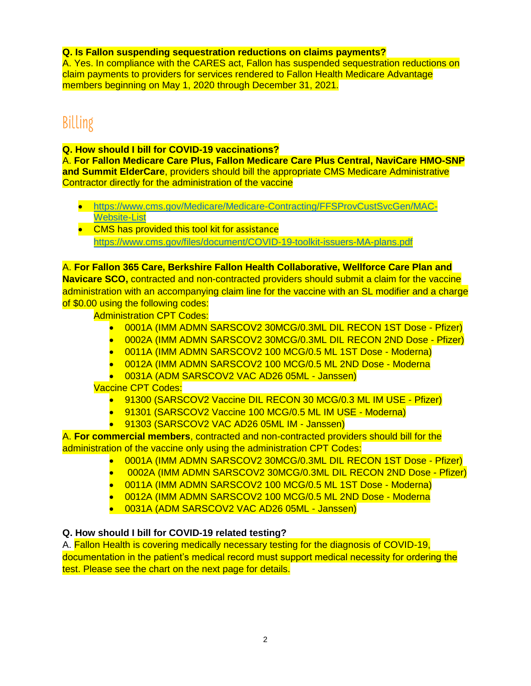#### **Q. Is Fallon suspending sequestration reductions on claims payments?**

A. Yes. In compliance with the CARES act, Fallon has suspended sequestration reductions on claim payments to providers for services rendered to Fallon Health Medicare Advantage members beginning on May 1, 2020 through December 31, 2021.

# Billing

## **Q. How should I bill for COVID-19 vaccinations?**

A. **For Fallon Medicare Care Plus, Fallon Medicare Care Plus Central, NaviCare HMO-SNP and Summit ElderCare**, providers should bill the appropriate CMS Medicare Administrative Contractor directly for the administration of the vaccine

- [https://www.cms.gov/Medicare/Medicare-Contracting/FFSProvCustSvcGen/MAC-](https://www.cms.gov/Medicare/Medicare-Contracting/FFSProvCustSvcGen/MAC-Website-List)[Website-List](https://www.cms.gov/Medicare/Medicare-Contracting/FFSProvCustSvcGen/MAC-Website-List)
- CMS has provided this tool kit for assistance <https://www.cms.gov/files/document/COVID-19-toolkit-issuers-MA-plans.pdf>

A. **For Fallon 365 Care, Berkshire Fallon Health Collaborative, Wellforce Care Plan and Navicare SCO,** contracted and non-contracted providers should submit a claim for the vaccine administration with an accompanying claim line for the vaccine with an SL modifier and a charge of \$0.00 using the following codes:

Administration CPT Codes:

- 0001A (IMM ADMN SARSCOV2 30MCG/0.3ML DIL RECON 1ST Dose Pfizer)
- 0002A (IMM ADMN SARSCOV2 30MCG/0.3ML DIL RECON 2ND Dose Pfizer)
- 0011A (IMM ADMN SARSCOV2 100 MCG/0.5 ML 1ST Dose Moderna)
- 0012A (IMM ADMN SARSCOV2 100 MCG/0.5 ML 2ND Dose Moderna
- 0031A (ADM SARSCOV2 VAC AD26 05ML Janssen)

Vaccine CPT Codes:

- 91300 (SARSCOV2 Vaccine DIL RECON 30 MCG/0.3 ML IM USE Pfizer)
- 91301 (SARSCOV2 Vaccine 100 MCG/0.5 ML IM USE Moderna)
- 91303 (SARSCOV2 VAC AD26 05ML IM Janssen)

A. **For commercial members**, contracted and non-contracted providers should bill for the administration of the vaccine only using the administration CPT Codes:

- 0001A (IMM ADMN SARSCOV2 30MCG/0.3ML DIL RECON 1ST Dose Pfizer)
- 0002A (IMM ADMN SARSCOV2 30MCG/0.3ML DIL RECON 2ND Dose Pfizer)
- 0011A (IMM ADMN SARSCOV2 100 MCG/0.5 ML 1ST Dose Moderna)
- 0012A (IMM ADMN SARSCOV2 100 MCG/0.5 ML 2ND Dose Moderna
- 0031A (ADM SARSCOV2 VAC AD26 05ML Janssen)

## **Q. How should I bill for COVID-19 related testing?**

A. Fallon Health is covering medically necessary testing for the diagnosis of COVID-19, documentation in the patient's medical record must support medical necessity for ordering the test. Please see the chart on the next page for details.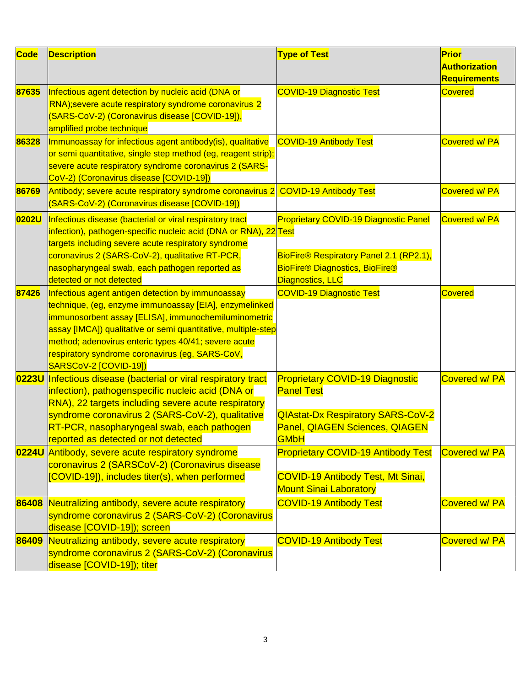| <b>Code</b> | <b>Description</b>                                                                                                                                                                                                                                                                                                                                                       | <b>Type of Test</b>                                                                                                                                             | Prior<br><b>Authorization</b> |
|-------------|--------------------------------------------------------------------------------------------------------------------------------------------------------------------------------------------------------------------------------------------------------------------------------------------------------------------------------------------------------------------------|-----------------------------------------------------------------------------------------------------------------------------------------------------------------|-------------------------------|
|             |                                                                                                                                                                                                                                                                                                                                                                          |                                                                                                                                                                 | <b>Requirements</b>           |
| 87635       | Infectious agent detection by nucleic acid (DNA or<br>RNA); severe acute respiratory syndrome coronavirus 2<br>(SARS-CoV-2) (Coronavirus disease [COVID-19]),<br>amplified probe technique                                                                                                                                                                               | <b>COVID-19 Diagnostic Test</b>                                                                                                                                 | <b>Covered</b>                |
| 86328       | Immunoassay for infectious agent antibody(is), qualitative<br>or semi quantitative, single step method (eg, reagent strip);<br>severe acute respiratory syndrome coronavirus 2 (SARS-<br>CoV-2) (Coronavirus disease [COVID-19])                                                                                                                                         | <b>COVID-19 Antibody Test</b>                                                                                                                                   | <b>Covered w/ PA</b>          |
| 86769       | Antibody; severe acute respiratory syndrome coronavirus 2<br>(SARS-CoV-2) (Coronavirus disease [COVID-19])                                                                                                                                                                                                                                                               | <b>COVID-19 Antibody Test</b>                                                                                                                                   | Covered w/ PA                 |
| 0202U       | Infectious disease (bacterial or viral respiratory tract<br>infection), pathogen-specific nucleic acid (DNA or RNA), 22 Test<br>targets including severe acute respiratory syndrome<br>coronavirus 2 (SARS-CoV-2), qualitative RT-PCR,<br>nasopharyngeal swab, each pathogen reported as                                                                                 | <b>Proprietary COVID-19 Diagnostic Panel</b><br>BioFire® Respiratory Panel 2.1 (RP2.1),<br><b>BioFire® Diagnostics, BioFire®</b>                                | Covered w/ PA                 |
|             | detected or not detected                                                                                                                                                                                                                                                                                                                                                 | Diagnostics, LLC                                                                                                                                                |                               |
| 87426       | Infectious agent antigen detection by immunoassay<br>technique, (eg, enzyme immunoassay [EIA], enzymelinked<br>immunosorbent assay [ELISA], immunochemiluminometric<br>assay [IMCA]) qualitative or semi quantitative, multiple-step<br>method; adenovirus enteric types 40/41; severe acute<br>respiratory syndrome coronavirus (eg, SARS-CoV,<br>SARSCoV-2 [COVID-19]) | <b>COVID-19 Diagnostic Test</b>                                                                                                                                 | <b>Covered</b>                |
|             | 0223U Infectious disease (bacterial or viral respiratory tract<br>infection), pathogenspecific nucleic acid (DNA or<br>RNA), 22 targets including severe acute respiratory<br>syndrome coronavirus 2 (SARS-CoV-2), qualitative<br>RT-PCR, nasopharyngeal swab, each pathogen<br>reported as detected or not detected                                                     | <b>Proprietary COVID-19 Diagnostic</b><br><b>Panel Test</b><br><b>QIAstat-Dx Respiratory SARS-CoV-2</b><br><b>Panel, QIAGEN Sciences, QIAGEN</b><br><b>GMbH</b> | Covered w/ PA                 |
| 0224U       | Antibody, severe acute respiratory syndrome<br>coronavirus 2 (SARSCoV-2) (Coronavirus disease<br>[COVID-19]), includes titer(s), when performed                                                                                                                                                                                                                          | <b>Proprietary COVID-19 Antibody Test</b><br><b>COVID-19 Antibody Test, Mt Sinai,</b><br><b>Mount Sinai Laboratory</b>                                          | Covered w/ PA                 |
| 86408       | Neutralizing antibody, severe acute respiratory<br>syndrome coronavirus 2 (SARS-CoV-2) (Coronavirus<br>disease [COVID-19]); screen                                                                                                                                                                                                                                       | <b>COVID-19 Antibody Test</b>                                                                                                                                   | Covered w/ PA                 |
| 86409       | Neutralizing antibody, severe acute respiratory<br>syndrome coronavirus 2 (SARS-CoV-2) (Coronavirus<br>disease [COVID-19]); titer                                                                                                                                                                                                                                        | <b>COVID-19 Antibody Test</b>                                                                                                                                   | Covered w/ PA                 |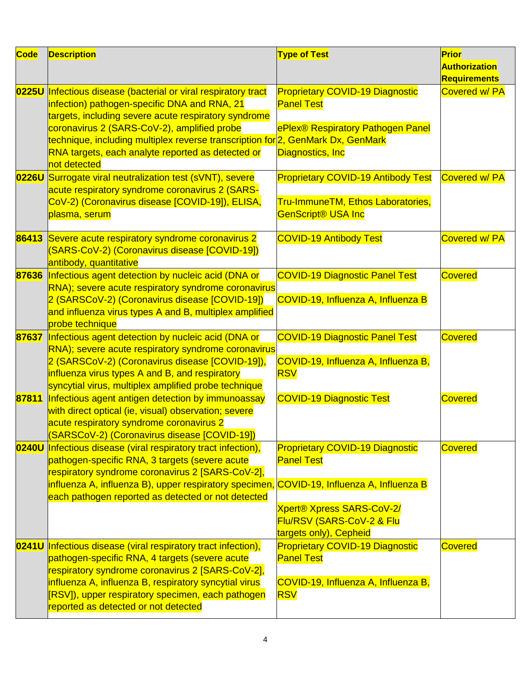| <b>Code</b> | <b>Description</b>                                                                                                                                                                                                                                                                                                                                                            | <b>Type of Test</b>                                                                                                                                    | Prior<br><b>Authorization</b><br><b>Requirements</b> |
|-------------|-------------------------------------------------------------------------------------------------------------------------------------------------------------------------------------------------------------------------------------------------------------------------------------------------------------------------------------------------------------------------------|--------------------------------------------------------------------------------------------------------------------------------------------------------|------------------------------------------------------|
|             | 0225U Infectious disease (bacterial or viral respiratory tract<br>infection) pathogen-specific DNA and RNA, 21<br>targets, including severe acute respiratory syndrome<br>coronavirus 2 (SARS-CoV-2), amplified probe<br>technique, including multiplex reverse transcription for 2, GenMark Dx, GenMark<br>RNA targets, each analyte reported as detected or<br>not detected | <b>Proprietary COVID-19 Diagnostic</b><br><b>Panel Test</b><br>ePlex® Respiratory Pathogen Panel<br>Diagnostics, Inc                                   | Covered w/ PA                                        |
|             | 0226U Surrogate viral neutralization test (sVNT), severe<br>acute respiratory syndrome coronavirus 2 (SARS-<br>CoV-2) (Coronavirus disease [COVID-19]), ELISA,<br>plasma, serum                                                                                                                                                                                               | <b>Proprietary COVID-19 Antibody Test</b><br>Tru-ImmuneTM, Ethos Laboratories,<br><b>GenScript® USA Inc</b>                                            | Covered w/ PA                                        |
| 86413       | Severe acute respiratory syndrome coronavirus 2<br>(SARS-CoV-2) (Coronavirus disease [COVID-19])<br>antibody, quantitative                                                                                                                                                                                                                                                    | <b>COVID-19 Antibody Test</b>                                                                                                                          | Covered w/ PA                                        |
|             | 87636 Infectious agent detection by nucleic acid (DNA or<br>RNA); severe acute respiratory syndrome coronavirus<br>2 (SARSCoV-2) (Coronavirus disease [COVID-19])<br>and influenza virus types A and B, multiplex amplified<br>probe technique                                                                                                                                | <b>COVID-19 Diagnostic Panel Test</b><br>COVID-19, Influenza A, Influenza B                                                                            | <b>Covered</b>                                       |
| 87637       | Infectious agent detection by nucleic acid (DNA or<br>RNA); severe acute respiratory syndrome coronavirus<br>2 (SARSCoV-2) (Coronavirus disease [COVID-19]),<br>influenza virus types A and B, and respiratory<br>syncytial virus, multiplex amplified probe technique                                                                                                        | <b>COVID-19 Diagnostic Panel Test</b><br>COVID-19, Influenza A, Influenza B,<br><b>RSV</b>                                                             | <b>Covered</b>                                       |
|             | 87811 Infectious agent antigen detection by immunoassay<br>with direct optical (ie, visual) observation; severe<br>acute respiratory syndrome coronavirus 2<br>(SARSCoV-2) (Coronavirus disease [COVID-19])                                                                                                                                                                   | <b>COVID-19 Diagnostic Test</b>                                                                                                                        | <b>Covered</b>                                       |
|             | 0240U Infectious disease (viral respiratory tract infection),<br>pathogen-specific RNA, 3 targets (severe acute<br>respiratory syndrome coronavirus 2 [SARS-CoV-2],<br>influenza A, influenza B), upper respiratory specimen, COVID-19, Influenza A, Influenza B<br>each pathogen reported as detected or not detected                                                        | <b>Proprietary COVID-19 Diagnostic</b><br><b>Panel Test</b><br><b>Xpert® Xpress SARS-CoV-2/</b><br>Flu/RSV (SARS-CoV-2 & Flu<br>targets only), Cepheid | <b>Covered</b>                                       |
| 0241U       | Infectious disease (viral respiratory tract infection),<br>pathogen-specific RNA, 4 targets (severe acute<br>respiratory syndrome coronavirus 2 [SARS-CoV-2],<br>influenza A, influenza B, respiratory syncytial virus<br>[RSV]), upper respiratory specimen, each pathogen<br>reported as detected or not detected                                                           | <b>Proprietary COVID-19 Diagnostic</b><br><b>Panel Test</b><br>COVID-19, Influenza A, Influenza B,<br><b>RSV</b>                                       | <b>Covered</b>                                       |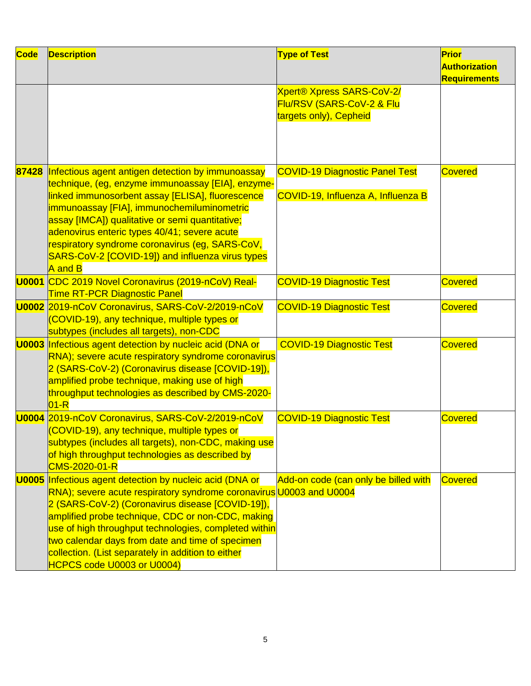| Code  | <b>Description</b>                                                                                                                                                                                                                                                                                                                                                                                                                               | <b>Type of Test</b>                                                                     | Prior<br><b>Authorization</b><br><b>Requirements</b> |
|-------|--------------------------------------------------------------------------------------------------------------------------------------------------------------------------------------------------------------------------------------------------------------------------------------------------------------------------------------------------------------------------------------------------------------------------------------------------|-----------------------------------------------------------------------------------------|------------------------------------------------------|
|       |                                                                                                                                                                                                                                                                                                                                                                                                                                                  | <b>Xpert® Xpress SARS-CoV-2/</b><br>Flu/RSV (SARS-CoV-2 & Flu<br>targets only), Cepheid |                                                      |
| 87428 | Infectious agent antigen detection by immunoassay<br>technique, (eg, enzyme immunoassay [EIA], enzyme-<br>linked immunosorbent assay [ELISA], fluorescence<br>immunoassay [FIA], immunochemiluminometric<br>assay [IMCA]) qualitative or semi quantitative;<br>adenovirus enteric types 40/41; severe acute<br>respiratory syndrome coronavirus (eg, SARS-CoV,<br>SARS-CoV-2 [COVID-19]) and influenza virus types<br>A and B                    | <b>COVID-19 Diagnostic Panel Test</b><br>COVID-19, Influenza A, Influenza B             | <b>Covered</b>                                       |
|       | U0001 CDC 2019 Novel Coronavirus (2019-nCoV) Real-<br><b>Time RT-PCR Diagnostic Panel</b>                                                                                                                                                                                                                                                                                                                                                        | <b>COVID-19 Diagnostic Test</b>                                                         | <b>Covered</b>                                       |
|       | U0002 2019-nCoV Coronavirus, SARS-CoV-2/2019-nCoV<br>(COVID-19), any technique, multiple types or<br>subtypes (includes all targets), non-CDC                                                                                                                                                                                                                                                                                                    | <b>COVID-19 Diagnostic Test</b>                                                         | <b>Covered</b>                                       |
|       | <b>U0003</b> Infectious agent detection by nucleic acid (DNA or<br>RNA); severe acute respiratory syndrome coronavirus<br>2 (SARS-CoV-2) (Coronavirus disease [COVID-19]),<br>amplified probe technique, making use of high<br>throughput technologies as described by CMS-2020-<br>$ 01 - R $                                                                                                                                                   | <b>COVID-19 Diagnostic Test</b>                                                         | <b>Covered</b>                                       |
|       | U0004 2019-nCoV Coronavirus, SARS-CoV-2/2019-nCoV<br>(COVID-19), any technique, multiple types or<br>subtypes (includes all targets), non-CDC, making use<br>of high throughput technologies as described by<br><b>CMS-2020-01-R</b>                                                                                                                                                                                                             | <b>COVID-19 Diagnostic Test</b>                                                         | Covered                                              |
|       | <b>U0005</b> Infectious agent detection by nucleic acid (DNA or<br>RNA); severe acute respiratory syndrome coronavirus U0003 and U0004<br>2 (SARS-CoV-2) (Coronavirus disease [COVID-19]),<br>amplified probe technique, CDC or non-CDC, making<br>use of high throughput technologies, completed within<br>two calendar days from date and time of specimen<br>collection. (List separately in addition to either<br>HCPCS code U0003 or U0004) | Add-on code (can only be billed with                                                    | <b>Covered</b>                                       |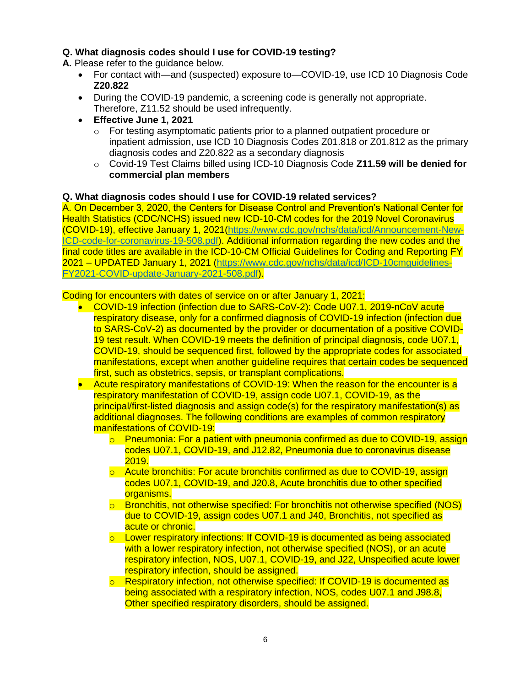## **Q. What diagnosis codes should I use for COVID-19 testing?**

**A.** Please refer to the guidance below.

- For contact with—and (suspected) exposure to—COVID-19, use ICD 10 Diagnosis Code **Z20.822**
- During the COVID-19 pandemic, a screening code is generally not appropriate. Therefore, Z11.52 should be used infrequently.
- **Effective June 1, 2021**
	- $\circ$  For testing asymptomatic patients prior to a planned outpatient procedure or inpatient admission, use ICD 10 Diagnosis Codes Z01.818 or Z01.812 as the primary diagnosis codes and Z20.822 as a secondary diagnosis
	- o Covid-19 Test Claims billed using ICD-10 Diagnosis Code **Z11.59 will be denied for commercial plan members**

#### **Q. What diagnosis codes should I use for COVID-19 related services?**

A. On December 3, 2020, the Centers for Disease Control and Prevention's National Center for Health Statistics (CDC/NCHS) issued new ICD-10-CM codes for the 2019 Novel Coronavirus (COVID-19), effective January 1, 2021[\(https://www.cdc.gov/nchs/data/icd/Announcement-New-](https://www.cdc.gov/nchs/data/icd/Announcement-New-ICD-code-for-coronavirus-19-508.pdf)[ICD-code-for-coronavirus-19-508.pdf\)](https://www.cdc.gov/nchs/data/icd/Announcement-New-ICD-code-for-coronavirus-19-508.pdf). Additional information regarding the new codes and the final code titles are available in the ICD-10-CM Official Guidelines for Coding and Reporting FY 2021 – UPDATED January 1, 2021 [\(https://www.cdc.gov/nchs/data/icd/ICD-10cmguidelines-](https://www.cdc.gov/nchs/data/icd/ICD-10cmguidelines-FY2021-COVID-update-January-2021-508.pdf)[FY2021-COVID-update-January-2021-508.pdf\)](https://www.cdc.gov/nchs/data/icd/ICD-10cmguidelines-FY2021-COVID-update-January-2021-508.pdf).

Coding for encounters with dates of service on or after January 1, 2021:

- COVID-19 infection (infection due to SARS-CoV-2): Code U07.1, 2019-nCoV acute respiratory disease, only for a confirmed diagnosis of COVID-19 infection (infection due to SARS-CoV-2) as documented by the provider or documentation of a positive COVID-19 test result. When COVID-19 meets the definition of principal diagnosis, code U07.1, COVID-19, should be sequenced first, followed by the appropriate codes for associated manifestations, except when another guideline requires that certain codes be sequenced first, such as obstetrics, sepsis, or transplant complications.
- Acute respiratory manifestations of COVID-19: When the reason for the encounter is a respiratory manifestation of COVID-19, assign code U07.1, COVID-19, as the principal/first-listed diagnosis and assign code(s) for the respiratory manifestation(s) as additional diagnoses. The following conditions are examples of common respiratory manifestations of COVID-19:
	- $\circ$  Pneumonia: For a patient with pneumonia confirmed as due to COVID-19, assign codes U07.1, COVID-19, and J12.82, Pneumonia due to coronavirus disease 2019.
	- o Acute bronchitis: For acute bronchitis confirmed as due to COVID-19, assign codes U07.1, COVID-19, and J20.8, Acute bronchitis due to other specified organisms.
	- $\circ$  Bronchitis, not otherwise specified: For bronchitis not otherwise specified (NOS) due to COVID-19, assign codes U07.1 and J40, Bronchitis, not specified as acute or chronic.
	- $\circ$  Lower respiratory infections: If COVID-19 is documented as being associated with a lower respiratory infection, not otherwise specified (NOS), or an acute respiratory infection, NOS, U07.1, COVID-19, and J22, Unspecified acute lower respiratory infection, should be assigned.
	- o Respiratory infection, not otherwise specified: If COVID-19 is documented as being associated with a respiratory infection, NOS, codes U07.1 and J98.8, Other specified respiratory disorders, should be assigned.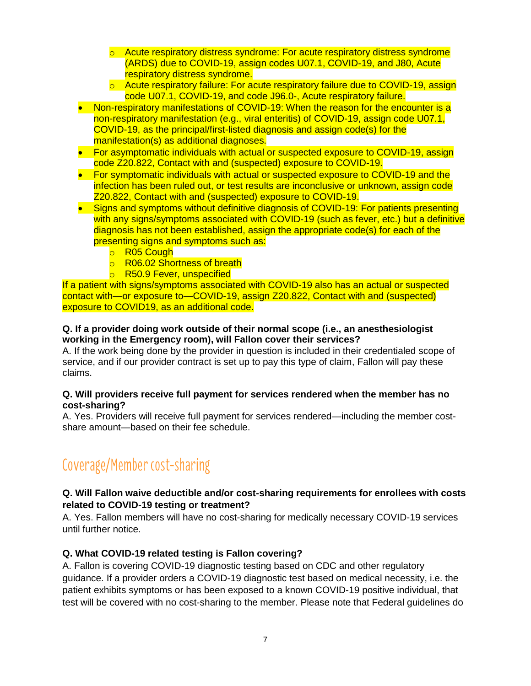- $\circ$  Acute respiratory distress syndrome: For acute respiratory distress syndrome (ARDS) due to COVID-19, assign codes U07.1, COVID-19, and J80, Acute respiratory distress syndrome.
- o Acute respiratory failure: For acute respiratory failure due to COVID-19, assign code U07.1, COVID-19, and code J96.0-, Acute respiratory failure.
- Non-respiratory manifestations of COVID-19: When the reason for the encounter is a non-respiratory manifestation (e.g., viral enteritis) of COVID-19, assign code U07.1, COVID-19, as the principal/first-listed diagnosis and assign code(s) for the manifestation(s) as additional diagnoses.
- For asymptomatic individuals with actual or suspected exposure to COVID-19, assign code Z20.822, Contact with and (suspected) exposure to COVID-19.
- For symptomatic individuals with actual or suspected exposure to COVID-19 and the infection has been ruled out, or test results are inconclusive or unknown, assign code Z20.822, Contact with and (suspected) exposure to COVID-19.
- Signs and symptoms without definitive diagnosis of COVID-19: For patients presenting with any signs/symptoms associated with COVID-19 (such as fever, etc.) but a definitive diagnosis has not been established, assign the appropriate code(s) for each of the presenting signs and symptoms such as:
	- o R05 Cough
	- o R06.02 Shortness of breath
	- o R50.9 Fever, unspecified

If a patient with signs/symptoms associated with COVID-19 also has an actual or suspected contact with—or exposure to—COVID-19, assign Z20.822, Contact with and (suspected) exposure to COVID19, as an additional code.

#### **Q. If a provider doing work outside of their normal scope (i.e., an anesthesiologist working in the Emergency room), will Fallon cover their services?**

A. If the work being done by the provider in question is included in their credentialed scope of service, and if our provider contract is set up to pay this type of claim, Fallon will pay these claims.

#### **Q. Will providers receive full payment for services rendered when the member has no cost-sharing?**

A. Yes. Providers will receive full payment for services rendered—including the member costshare amount—based on their fee schedule.

## Coverage/Member cost-sharing

### **Q. Will Fallon waive deductible and/or cost-sharing requirements for enrollees with costs related to COVID-19 testing or treatment?**

A. Yes. Fallon members will have no cost-sharing for medically necessary COVID-19 services until further notice.

## **Q. What COVID-19 related testing is Fallon covering?**

A. Fallon is covering COVID-19 diagnostic testing based on CDC and other regulatory guidance. If a provider orders a COVID-19 diagnostic test based on medical necessity, i.e. the patient exhibits symptoms or has been exposed to a known COVID-19 positive individual, that test will be covered with no cost-sharing to the member. Please note that Federal guidelines do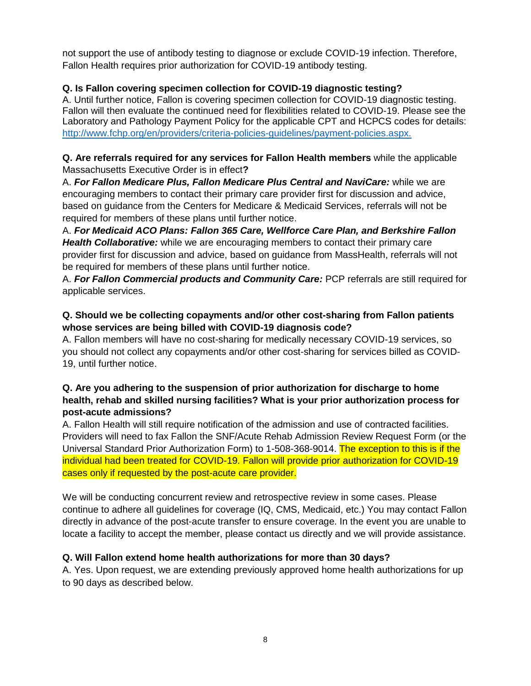not support the use of antibody testing to diagnose or exclude COVID-19 infection. Therefore, Fallon Health requires prior authorization for COVID-19 antibody testing.

## **Q. Is Fallon covering specimen collection for COVID-19 diagnostic testing?**

A. Until further notice, Fallon is covering specimen collection for COVID-19 diagnostic testing. Fallon will then evaluate the continued need for flexibilities related to COVID-19. Please see the Laboratory and Pathology Payment Policy for the applicable CPT and HCPCS codes for details: [http://www.fchp.org/en/providers/criteria-policies-guidelines/payment-policies.aspx.](http://www.fchp.org/en/providers/criteria-policies-guidelines/payment-policies.aspx)

#### **Q. Are referrals required for any services for Fallon Health members** while the applicable Massachusetts Executive Order is in effect**?**

A. *For Fallon Medicare Plus, Fallon Medicare Plus Central and NaviCare:* while we are encouraging members to contact their primary care provider first for discussion and advice, based on guidance from the Centers for Medicare & Medicaid Services, referrals will not be required for members of these plans until further notice.

A. *For Medicaid ACO Plans: Fallon 365 Care, Wellforce Care Plan, and Berkshire Fallon Health Collaborative:* while we are encouraging members to contact their primary care provider first for discussion and advice, based on guidance from MassHealth, referrals will not be required for members of these plans until further notice.

A. *For Fallon Commercial products and Community Care:* PCP referrals are still required for applicable services.

### **Q. Should we be collecting copayments and/or other cost-sharing from Fallon patients whose services are being billed with COVID-19 diagnosis code?**

A. Fallon members will have no cost-sharing for medically necessary COVID-19 services, so you should not collect any copayments and/or other cost-sharing for services billed as COVID-19, until further notice.

## **Q. Are you adhering to the suspension of prior authorization for discharge to home health, rehab and skilled nursing facilities? What is your prior authorization process for post-acute admissions?**

A. Fallon Health will still require notification of the admission and use of contracted facilities. Providers will need to fax Fallon the SNF/Acute Rehab Admission Review Request Form (or the Universal Standard Prior Authorization Form) to 1-508-368-9014. The exception to this is if the individual had been treated for COVID-19. Fallon will provide prior authorization for COVID-19 cases only if requested by the post-acute care provider.

We will be conducting concurrent review and retrospective review in some cases. Please continue to adhere all guidelines for coverage (IQ, CMS, Medicaid, etc.) You may contact Fallon directly in advance of the post-acute transfer to ensure coverage. In the event you are unable to locate a facility to accept the member, please contact us directly and we will provide assistance.

## **Q. Will Fallon extend home health authorizations for more than 30 days?**

A. Yes. Upon request, we are extending previously approved home health authorizations for up to 90 days as described below.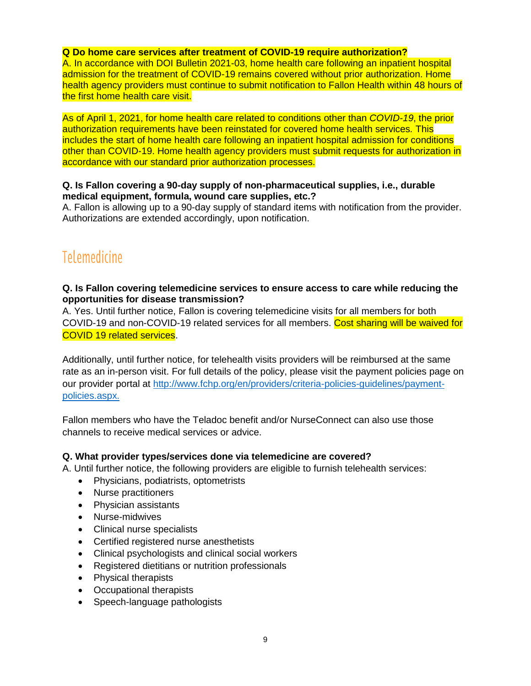#### **Q Do home care services after treatment of COVID-19 require authorization?**

A. In accordance with DOI Bulletin 2021-03, home health care following an inpatient hospital admission for the treatment of COVID-19 remains covered without prior authorization. Home health agency providers must continue to submit notification to Fallon Health within 48 hours of the first home health care visit.

As of April 1, 2021, for home health care related to conditions other than *COVID-19*, the prior authorization requirements have been reinstated for covered home health services*.* This includes the start of home health care following an inpatient hospital admission for conditions other than COVID-19. Home health agency providers must submit requests for authorization in accordance with our standard prior authorization processes.

#### **Q. Is Fallon covering a 90-day supply of non-pharmaceutical supplies, i.e., durable medical equipment, formula, wound care supplies, etc.?**

A. Fallon is allowing up to a 90-day supply of standard items with notification from the provider. Authorizations are extended accordingly, upon notification.

## **Telemedicine**

#### **Q. Is Fallon covering telemedicine services to ensure access to care while reducing the opportunities for disease transmission?**

A. Yes. Until further notice, Fallon is covering telemedicine visits for all members for both COVID-19 and non-COVID-19 related services for all members. Cost sharing will be waived for COVID 19 related services.

Additionally, until further notice, for telehealth visits providers will be reimbursed at the same rate as an in-person visit. For full details of the policy, please visit the payment policies page on our provider portal at [http://www.fchp.org/en/providers/criteria-policies-guidelines/payment](http://www.fchp.org/en/providers/criteria-policies-guidelines/payment-policies.aspx)[policies.aspx.](http://www.fchp.org/en/providers/criteria-policies-guidelines/payment-policies.aspx)

Fallon members who have the Teladoc benefit and/or NurseConnect can also use those channels to receive medical services or advice.

#### **Q. What provider types/services done via telemedicine are covered?**

A. Until further notice, the following providers are eligible to furnish telehealth services:

- Physicians, podiatrists, optometrists
- Nurse practitioners
- Physician assistants
- Nurse-midwives
- Clinical nurse specialists
- Certified registered nurse anesthetists
- Clinical psychologists and clinical social workers
- Registered dietitians or nutrition professionals
- Physical therapists
- Occupational therapists
- Speech-language pathologists